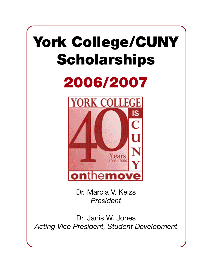# York College/CUNY **Scholarships**





Dr. Marcia V. Keizs *President*

Dr. Janis W. Jones *Acting Vice President, Student Development*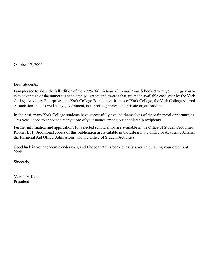October 17, 2006

Dear Students:

I am pleased to share the fall edition of the *2006-2007 Scholarships and Awards* booklet with you. I urge you to take advantage of the numerous scholarships, grants and awards that are made available each year by the York College Auxiliary Enterprises, the York College Foundation, friends of York College, the York College Alumni Association Inc., as well as by government, non-profit agencies, and private organizations.

In the past, many York College students have successfully availed themselves of these financial opportunities. This year I hope to announce many more of your names among our scholarship recipients.

Further information and applications for selected scholarships are available in the Office of Student Activities, Room 1E01. Additional copies of this publication are available in the Library, the Office of Academic Affairs, the Financial Aid Office, Admissions, and the Office of Student Activities.

Good luck in your academic endeavors, and I hope that this booklet assists you in pursuing your dreams at York.

Sincerely,

Marcia V. Keizs President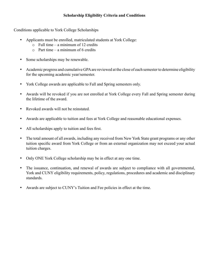# **Scholarship Eligibility Criteria and Conditions**

Conditions applicable to York College Scholarships

- Applicants must be enrolled, matriculated students at York College:
	- $\circ$  Full time a minimum of 12 credits
	- $\circ$  Part time a minimum of 6 credits
- Some scholarships may be renewable.
- Academic progress and cumulative GPA are reviewed at the close of each semester to determine eligibility for the upcoming academic year/semester.
- York College awards are applicable to Fall and Spring semesters only.
- Awards will be revoked if you are not enrolled at York College every Fall and Spring semester during the lifetime of the award.
- Revoked awards will not be reinstated.
- Awards are applicable to tuition and fees at York College and reasonable educational expenses.
- All scholarships apply to tuition and fees first.
- The total amount of all awards, including any received from New York State grant programs or any other tuition specific award from York College or from an external organization may not exceed your actual tuition charges.
- Only ONE York College scholarship may be in effect at any one time.
- The issuance, continuation, and renewal of awards are subject to compliance with all governmental, York and CUNY eligibility requirements, policy, regulations, procedures and academic and disciplinary standards.
- Awards are subject to CUNY's Tuition and Fee policies in effect at the time.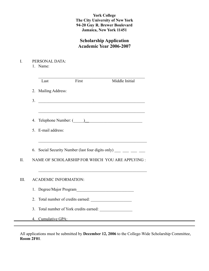# **York College The City University of New York 94-20 Guy R. Brewer Boulevard Jamaica, New York 11451**

# **Scholarship Application Academic Year 2006-2007**

- I. PERSONAL DATA:
	- 1. Name:

| Last                         | First                                | Middle Initial                                                                                                         |
|------------------------------|--------------------------------------|------------------------------------------------------------------------------------------------------------------------|
| 2. Mailing Address:          |                                      |                                                                                                                        |
| 3.                           |                                      |                                                                                                                        |
|                              |                                      |                                                                                                                        |
| 4.                           |                                      |                                                                                                                        |
| 5. E-mail address:           |                                      |                                                                                                                        |
|                              |                                      | <u> 1989 - Johann John Stoff, deutscher Stoff, der Stoff, der Stoff, der Stoff, der Stoff, der Stoff, der Stoff, d</u> |
|                              |                                      | 6. Social Security Number (last four digits only) $\frac{1}{\sqrt{2}}$ = $\frac{1}{\sqrt{2}}$                          |
|                              |                                      | NAME OF SCHOLARSHIP FOR WHICH YOU ARE APPLYING :                                                                       |
|                              |                                      | <u> 1989 - Johann John Stone, mars eta bainar eta bainar eta baina eta baina eta baina eta baina eta baina eta b</u>   |
| <b>ACADEMIC INFORMATION:</b> |                                      |                                                                                                                        |
|                              |                                      |                                                                                                                        |
| 2.                           | Total number of credits earned:      |                                                                                                                        |
| 3.                           | Total number of York credits earned: |                                                                                                                        |
| 4. Cumulative GPA:           |                                      |                                                                                                                        |

All applications must be submitted by **December 12, 2006** to the College-Wide Scholarship Committee, **Room 2F01**.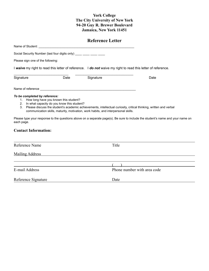#### **York College The City University of New York 94-20 Guy R. Brewer Boulevard Jamaica, New York 11451**

# **Reference Letter**

Social Security Number (last four digits only) \_\_\_\_ \_\_\_ \_\_\_\_ \_\_\_\_

Please sign one of the following:

Name of Student: \_\_\_\_\_\_\_\_\_\_\_\_\_\_\_\_\_\_\_\_\_\_\_\_\_\_\_\_\_\_\_\_\_\_\_\_\_\_\_\_\_\_\_\_\_\_\_\_\_\_\_\_\_\_\_\_

I *waive* my right to read this letter of reference. I *do not* waive my right to read this letter of reference.

| Signature         | Date | Signature | Date |
|-------------------|------|-----------|------|
| Name of reference |      |           |      |

#### *To be completed by reference:*

- 1. How long have you known this student?
- 2. In what capacity do you know this student?
- 3. Please discuss the student's academic achievements, intellectual curiosity, critical thinking, written and verbal communication skills, maturity, motivation, work habits, and interpersonal skills.

Please type your response to the questions above on a separate page(s). Be sure to include the student's name and your name on each page.

#### **Contact Information:**

| Reference Name         | Title                       |  |
|------------------------|-----------------------------|--|
| <b>Mailing Address</b> |                             |  |
|                        |                             |  |
|                        |                             |  |
| E-mail Address         | Phone number with area code |  |
| Reference Signature    | Date                        |  |
|                        |                             |  |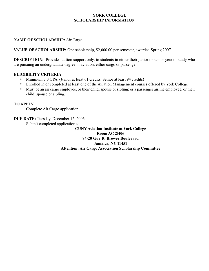### **NAME OF SCHOLARSHIP:** Air Cargo

**VALUE OF SCHOLARSHIP:** One scholarship, \$2,000.00 per semester, awarded Spring 2007.

**DESCRIPTION:** Provides tuition support only, to students in either their junior or senior year of study who are pursuing an undergraduate degree in aviation, either cargo or passenger.

#### **ELIGIBILITY CRITERIA:**

- Minimum 3.0 GPA (Junior at least 61 credits, Senior at least 94 credits)
- Enrolled in or completed at least one of the Aviation Management courses offered by York College
- Must be an air cargo employee, or their child, spouse or sibling; or a passenger airline employee, or their child, spouse or sibling.

#### **TO APPLY:**

Complete Air Cargo application

**DUE DATE:** Tuesday, December 12, 2006 Submit completed application to:

> **CUNY Aviation Institute at York College Room AC 2H06 94-20 Guy R. Brewer Boulevard Jamaica, NY 11451 Attention: Air Cargo Association Scholarship Committee**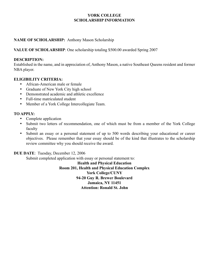### **NAME OF SCHOLARSHIP:** Anthony Mason Scholarship

#### **VALUE OF SCHOLARSHIP**: One scholarship totaling \$500.00 awarded Spring 2007

#### **DESCRIPTION:**

Established in the name, and in appreciation of, Anthony Mason, a native Southeast Queens resident and former NBA player.

#### **ELIGIBILITY CRITERIA:**

- African-American male or female
- Graduate of New York City high school
- Demonstrated academic and athletic excellence
- Full-time matriculated student
- Member of a York College Intercollegiate Team.

#### **TO APPLY:**

- Complete application
- Submit two letters of recommendation, one of which must be from a member of the York College faculty
- Submit an essay or a personal statement of up to 500 words describing your educational or career objectives. Please remember that your essay should be of the kind that illustrates to the scholarship review committee why you should receive the award.

#### **DUE DATE**: Tuesday, December 12, 2006

Submit completed application with essay or personal statement to:

**Health and Physical Education Room 201, Health and Physical Education Complex York College/CUNY 94-20 Guy R. Brewer Boulevard Jamaica, NY 11451 Attention: Ronald St. John**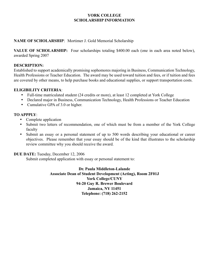# **NAME OF SCHOLARSHIP**: Mortimer J. Gold Memorial Scholarship

**VALUE OF SCHOLARSHIP:** Four scholarships totaling \$400.00 each (one in each area noted below), awarded Spring 2007

#### **DESCRIPTION:**

Established to support academically promising sophomores majoring in Business, Communication Technology, Health Professions or Teacher Education. The award may be used toward tuition and fees, or if tuition and fees are covered by other means, to help purchase books and educational supplies, or support transportation costs.

#### **ELIGIBILITY CRITERIA**:

- Full-time matriculated student (24 credits or more), at least 12 completed at York College
- Declared major in Business, Communication Technology, Health Professions or Teacher Education
- Cumulative GPA of 3.0 or higher.

#### **TO APPPLY**:

- Complete application
- Submit two letters of recommendation, one of which must be from a member of the York College faculty
- Submit an essay or a personal statement of up to 500 words describing your educational or career objectives. Please remember that your essay should be of the kind that illustrates to the scholarship review committee why you should receive the award.

#### **DUE DATE:** Tuesday, December 12, 2006

Submit completed application with essay or personal statement to: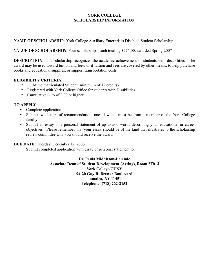**NAME OF SCHOLARSHIP**: York College Auxiliary Enterprises Disabled Student Scholarship

**VALUE OF SCHOLARSHIP:** Four scholarships, each totaling \$275.00, awarded Spring 2007

**DESCRIPTION**: This scholarship recognizes the academic achievement of students with disabilities. The award may be used toward tuition and fees, or if tuition and fees are covered by other means, to help purchase books and educational supplies, or support transportation costs.

### **ELIGIBILITY CRITERIA**:

- Full-time matriculated Student (minimum of 12 credits)
- Registered with York College Office for students with Disabilities
- Cumulative GPA of 3.00 or higher.

### **TO APPPLY**:

- Complete application
- Submit two letters of recommendation, one of which must be from a member of the York College faculty
- Submit an essay or a personal statement of up to 500 words describing your educational or career objectives. Please remember that your essay should be of the kind that illustrates to the scholarship review committee why you should receive the award.

#### **DUE DATE:** Tuesday, December 12, 2006

Submit completed application with essay or personal statement to: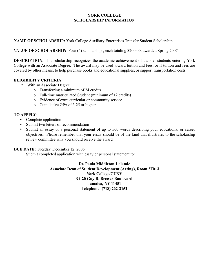**NAME OF SCHOLARSHIP:** York College Auxiliary Enterprises Transfer Student Scholarship

**VALUE OF SCHOLARSHIP:** Four (4) scholarships, each totaling \$200.00, awarded Spring 2007

**DESCRIPTION**: This scholarship recognizes the academic achievement of transfer students entering York College with an Associate Degree. The award may be used toward tuition and fees, or if tuition and fees are covered by other means, to help purchase books and educational supplies, or support transportation costs.

### **ELIGIBILITY CRITERIA**:

- With an Associate Degree
	- o Transferring a minimum of 24 credits
	- o Full-time matriculated Student (minimum of 12 credits)
	- o Evidence of extra curricular or community service
	- o Cumulative GPA of 3.25 or higher.

### **TO APPPLY**:

- Complete application
- Submit two letters of recommendation
- Submit an essay or a personal statement of up to 500 words describing your educational or career objectives. Please remember that your essay should be of the kind that illustrates to the scholarship review committee why you should receive the award.

# **DUE DATE:** Tuesday, December 12, 2006

Submit completed application with essay or personal statement to: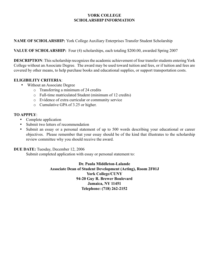**NAME OF SCHOLARSHIP:** York College Auxiliary Enterprises Transfer Student Scholarship

**VALUE OF SCHOLARSHIP:** Four (4) scholarships, each totaling \$200.00, awarded Spring 2007

**DESCRIPTION**: This scholarship recognizes the academic achievement of four transfer students entering York College without an Associate Degree. The award may be used toward tuition and fees, or if tuition and fees are covered by other means, to help purchase books and educational supplies, or support transportation costs.

### **ELIGIBILITY CRITERIA**:

- Without an Associate Degree
	- o Transferring a minimum of 24 credits
	- o Full-time matriculated Student (minimum of 12 credits)
	- o Evidence of extra curricular or community service
	- o Cumulative GPA of 3.25 or higher.

### **TO APPPLY**:

- Complete application
- Submit two letters of recommendation
- Submit an essay or a personal statement of up to 500 words describing your educational or career objectives. Please remember that your essay should be of the kind that illustrates to the scholarship review committee why you should receive the award.

# **DUE DATE:** Tuesday, December 12, 2006

Submit completed application with essay or personal statement to: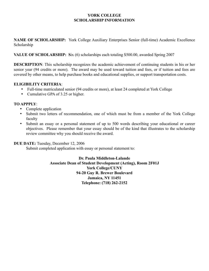**NAME OF SCHOLARSHIP:** York College Auxiliary Enterprises Senior (full-time) Academic Excellence Scholarship

#### **VALUE OF SCHOLARSHIP: S**ix (6) scholarships each totaling \$500.00, awarded Spring 2007

**DESCRIPTION**: This scholarship recognizes the academic achievement of continuing students in his or her senior year (94 credits or more). The award may be used toward tuition and fees, or if tuition and fees are covered by other means, to help purchase books and educational supplies, or support transportation costs.

#### **ELIGIBILITY CRITERIA**:

- Full-time matriculated senior (94 credits or more), at least 24 completed at York College
- Cumulative GPA of 3.25 or higher.

#### **TO APPPLY**:

- Complete application
- Submit two letters of recommendation, one of which must be from a member of the York College faculty
- Submit an essay or a personal statement of up to 500 words describing your educational or career objectives. Please remember that your essay should be of the kind that illustrates to the scholarship review committee why you should receive the award.

#### **DUE DATE:** Tuesday, December 12, 2006

Submit completed application with essay or personal statement to: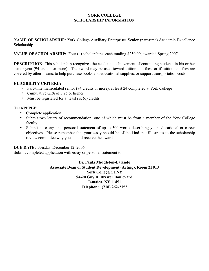**NAME OF SCHOLARSHIP:** York College Auxiliary Enterprises Senior (part-time) Academic Excellence Scholarship

#### **VALUE OF SCHOLARSHIP:** Four (4) scholarships, each totaling \$250.00, awarded Spring 2007

**DESCRIPTION**: This scholarship recognizes the academic achievement of continuing students in his or her senior year (94 credits or more). The award may be used toward tuition and fees, or if tuition and fees are covered by other means, to help purchase books and educational supplies, or support transportation costs.

#### **ELIGIBILITY CRITERIA**:

- Part-time matriculated senior (94 credits or more), at least 24 completed at York College
- Cumulative GPA of 3.25 or higher
- Must be registered for at least six (6) credits.

### **TO APPPLY**:

- Complete application
- Submit two letters of recommendation, one of which must be from a member of the York College faculty
- Submit an essay or a personal statement of up to 500 words describing your educational or career objectives. Please remember that your essay should be of the kind that illustrates to the scholarship review committee why you should receive the award.

#### **DUE DATE:** Tuesday, December 12, 2006

Submit completed application with essay or personal statement to: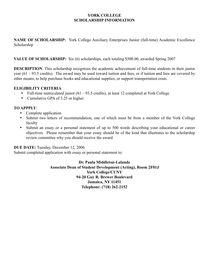**NAME OF SCHOLARSHIP:** York College Auxiliary Enterprises Junior (full-time) Academic Excellence Scholarship

### **VALUE OF SCHOLARSHIP:** Six (6) scholarships, each totaling \$500.00, awarded Spring 2007

**DESCRIPTION**: This scholarship recognizes the academic achievement of full-time students in their junior year (61 – 93.5 credits). The award may be used toward tuition and fees, or if tuition and fees are covered by other means, to help purchase books and educational supplies, or support transportation costs.

### **ELIGIBILITY CRITERIA**:

- Full-time matriculated junior (61 93.5 credits), at least 12 completed at York College
- Cumulative GPA of 3.25 or higher.

### **TO APPPLY**:

- Complete application
- Submit two letters of recommendation, one of which must be from a member of the York College faculty
- Submit an essay or a personal statement of up to 500 words describing your educational or career objectives. Please remember that your essay should be of the kind that illustrates to the scholarship review committee why you should receive the award.

#### **DUE DATE:** Tuesday, December 12, 2006

Submit completed application with essay or personal statement to: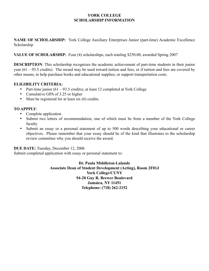**NAME OF SCHOLARSHIP:** York College Auxiliary Enterprises Junior (part-time) Academic Excellence Scholarship

**VALUE OF SCHOLARSHIP:** Four (4) scholarships, each totaling \$250.00, awarded Spring 2007

**DESCRIPTION**: This scholarship recognizes the academic achievement of part-time students in their junior year (61 – 93.5 credits). The award may be used toward tuition and fees, or if tuition and fees are covered by other means, to help purchase books and educational supplies, or support transportation costs.

#### **ELIGIBILITY CRITERIA:**

- Part-time junior  $(61 93.5 \text{ credits})$ , at least 12 completed at York College
- Cumulative GPA of 3.25 or higher
- Must be registered for at least six (6) credits.

### **TO APPPLY**:

- Complete application
- Submit two letters of recommendation, one of which must be from a member of the York College faculty
- Submit an essay or a personal statement of up to 500 words describing your educational or career objectives. Please remember that your essay should be of the kind that illustrates to the scholarship review committee why you should receive the award.

#### **DUE DATE:** Tuesday, December 12, 2006

Submit completed application with essay or personal statement to: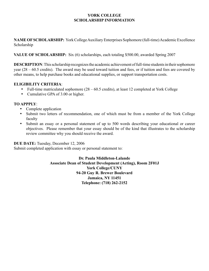**NAME OF SCHOLARSHIP:** York College Auxiliary Enterprises Sophomore (full-time) Academic Excellence Scholarship

### **VALUE OF SCHOLARSHIP:** Six (6) scholarships, each totaling \$500.00, awarded Spring 2007

**DESCRIPTION**: This scholarship recognizes the academic achievement of full-time students in their sophomore year (28 – 60.5 credits). The award may be used toward tuition and fees, or if tuition and fees are covered by other means, to help purchase books and educational supplies, or support transportation costs.

#### **ELIGIBILITY CRITERIA**:

- Full-time matriculated sophomore (28 60.5 credits), at least 12 completed at York College
- Cumulative GPA of 3.00 or higher.

### **TO APPPLY**:

- Complete application
- Submit two letters of recommendation, one of which must be from a member of the York College faculty
- Submit an essay or a personal statement of up to 500 words describing your educational or career objectives. Please remember that your essay should be of the kind that illustrates to the scholarship review committee why you should receive the award.

**DUE DATE:** Tuesday, December 12, 2006

Submit completed application with essay or personal statement to: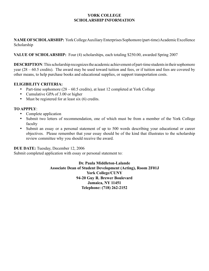**NAME OF SCHOLARSHIP:** York College Auxiliary Enterprises Sophomore (part-time) Academic Excellence Scholarship

**VALUE OF SCHOLARSHIP:** Four (4) scholarships, each totaling \$250.00, awarded Spring 2007

**DESCRIPTION**: This scholarship recognizes the academic achievement of part-time students in their sophomore year (28 – 60.5 credits). The award may be used toward tuition and fees, or if tuition and fees are covered by other means, to help purchase books and educational supplies, or support transportation costs.

### **ELIGIBILITY CRITERIA:**

- Part-time sophomore  $(28 60.5 \text{ credits})$ , at least 12 completed at York College
- Cumulative GPA of 3.00 or higher
- Must be registered for at least six (6) credits.

### **TO APPPLY**:

- Complete application
- Submit two letters of recommendation, one of which must be from a member of the York College faculty
- Submit an essay or a personal statement of up to 500 words describing your educational or career objectives. Please remember that your essay should be of the kind that illustrates to the scholarship review committee why you should receive the award.

#### **DUE DATE:** Tuesday, December 12, 2006

Submit completed application with essay or personal statement to: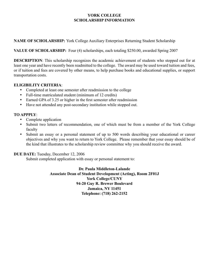# **NAME OF SCHOLARSHIP:** York College Auxiliary Enterprises Returning Student Scholarship

### **VALUE OF SCHOLARSHIP:** Four (4) scholarships, each totaling \$250.00, awarded Spring 2007

**DESCRIPTION**: This scholarship recognizes the academic achievement of students who stopped out for at least one year and have recently been readmitted to the college. The award may be used toward tuition and fees, or if tuition and fees are covered by other means, to help purchase books and educational supplies, or support transportation costs.

#### **ELIGIBILITY CRITERIA**:

- Completed at least one semester after readmission to the college
- Full-time matriculated student (minimum of 12 credits)
- Earned GPA of 3.25 or higher in the first semester after readmission
- Have not attended any post-secondary institution while stopped out.

# **TO APPPLY**:

- Complete application
- Submit two letters of recommendation, one of which must be from a member of the York College faculty
- Submit an essay or a personal statement of up to 500 words describing your educational or career objectives and why you want to return to York College. Please remember that your essay should be of the kind that illustrates to the scholarship review committee why you should receive the award.

# **DUE DATE:** Tuesday, December 12, 2006

Submit completed application with essay or personal statement to: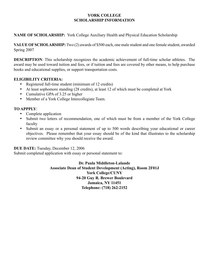**NAME OF SCHOLARSHIP:** York College Auxiliary Health and Physical Education Scholarship

**VALUE OF SCHOLARSHIP:** Two (2) awards of \$500 each, one male student and one female student, awarded Spring 2007

**DESCRIPTION**: This scholarship recognizes the academic achievement of full-time scholar athletes. The award may be used toward tuition and fees, or if tuition and fees are covered by other means, to help purchase books and educational supplies, or support transportation costs.

### **ELIGIBILITY CRITERIA:**

- Registered full-time student (minimum of 12 credits)
- At least sophomore standing (28 credits), at least 12 of which must be completed at York
- Cumulative GPA of 3.25 or higher
- Member of a York College Intercollegiate Team.

### **TO APPPLY**:

- Complete application
- Submit two letters of recommendation, one of which must be from a member of the York College faculty
- Submit an essay or a personal statement of up to 500 words describing your educational or career objectives. Please remember that your essay should be of the kind that illustrates to the scholarship review committee why you should receive the award.

#### **DUE DATE:** Tuesday, December 12, 2006

Submit completed application with essay or personal statement to: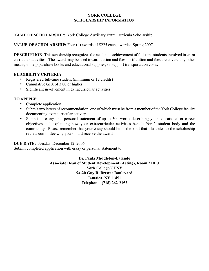### **NAME OF SCHOLARSHIP:** York College Auxiliary Extra Curricula Scholarship

# **VALUE OF SCHOLARSHIP:** Four (4) awards of \$225 each, awarded Spring 2007

**DESCRIPTION**: This scholarship recognizes the academic achievement of full-time students involved in extra curricular activities. The award may be used toward tuition and fees, or if tuition and fees are covered by other means, to help purchase books and educational supplies, or support transportation costs.

#### **ELIGIBILITY CRITERIA:**

- Registered full-time student (minimum or 12 credits)
- Cumulative GPA of 3.00 or higher
- Significant involvement in extracurricular activities.

#### **TO APPPLY**:

- Complete application
- Submit two letters of recommendation, one of which must be from a member of the York College faculty documenting extracurricular activity
- Submit an essay or a personal statement of up to 500 words describing your educational or career objectives and explaining how your extracurricular activities benefit York's student body and the community. Please remember that your essay should be of the kind that illustrates to the scholarship review committee why you should receive the award.

**DUE DATE:** Tuesday, December 12, 2006

Submit completed application with essay or personal statement to: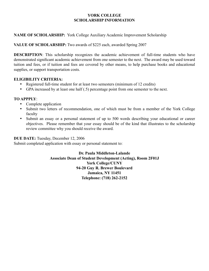#### **NAME OF SCHOLARSHIP:** York College Auxiliary Academic Improvement Scholarship

#### **VALUE OF SCHOLARSHIP:** Two awards of \$225 each, awarded Spring 2007

**DESCRIPTION**: This scholarship recognizes the academic achievement of full-time students who have demonstrated significant academic achievement from one semester to the next. The award may be used toward tuition and fees, or if tuition and fees are covered by other means, to help purchase books and educational supplies, or support transportation costs.

### **ELIGIBILITY CRITERIA:**

- Registered full-time student for at least two semesters (minimum of 12 credits)
- GPA increased by at least one half (.5) percentage point from one semester to the next.

### **TO APPPLY**:

- Complete application
- Submit two letters of recommendation, one of which must be from a member of the York College faculty
- Submit an essay or a personal statement of up to 500 words describing your educational or career objectives. Please remember that your essay should be of the kind that illustrates to the scholarship review committee why you should receive the award.

**DUE DATE:** Tuesday, December 12, 2006

Submit completed application with essay or personal statement to: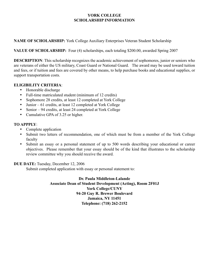### **NAME OF SCHOLARSHIP:** York College Auxiliary Enterprises Veteran Student Scholarship

### **VALUE OF SCHOLARSHIP:** Four (4) scholarships, each totaling \$200.00, awarded Spring 2007

**DESCRIPTION**: This scholarship recognizes the academic achievement of sophomores, junior or seniors who are veterans of either the US military, Coast Guard or National Guard. The award may be used toward tuition and fees, or if tuition and fees are covered by other means, to help purchase books and educational supplies, or support transportation costs.

### **ELIGIBILITY CRITERIA**:

- Honorable discharge
- Full-time matriculated student (minimum of 12 credits)
- Sophomore 28 credits, at least 12 completed at York College
- Junior 61 credits, at least 12 completed at York College
- Senior 94 credits, at least 24 completed at York College
- Cumulative GPA of 3.25 or higher.

### **TO APPPLY**:

- Complete application
- Submit two letters of recommendation, one of which must be from a member of the York College faculty
- Submit an essay or a personal statement of up to 500 words describing your educational or career objectives. Please remember that your essay should be of the kind that illustrates to the scholarship review committee why you should receive the award.

#### **DUE DATE:** Tuesday, December 12, 2006

Submit completed application with essay or personal statement to: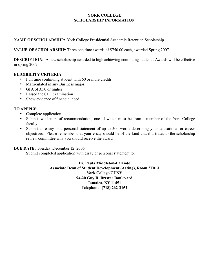**NAME OF SCHOLARSHIP:** York College Presidential Academic Retention Scholarship

**VALUE OF SCHOLARSHIP**: Three one time awards of \$750.00 each, awarded Spring 2007

**DESCRIPTION:** A new scholarship awarded to high achieving continuing students. Awards will be effective in spring 2007.

#### **ELIGIBILITY CRITERIA:**

- Full time continuing student with 60 or more credits
- Matriculated in any Business major
- GPA of 3.50 or higher
- Passed the CPE examination
- Show evidence of financial need.

### **TO APPPLY**:

- Complete application
- Submit two letters of recommendation, one of which must be from a member of the York College faculty
- Submit an essay or a personal statement of up to 500 words describing your educational or career objectives. Please remember that your essay should be of the kind that illustrates to the scholarship review committee why you should receive the award.

# **DUE DATE:** Tuesday, December 12, 2006

Submit completed application with essay or personal statement to: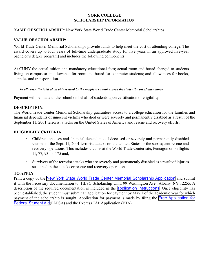#### **NAME OF SCHOLARSHIP**: New York State World Trade Center Memorial Scholarships

#### **VALUE OF SCHOLARSHIP:**

World Trade Center Memorial Scholarships provide funds to help meet the cost of attending college. The award covers up to four years of full-time undergraduate study (or five years in an approved five-year bachelor's degree program) and includes the following components:

At CUNY the actual tuition and mandatory educational fees; actual room and board charged to students living on campus or an allowance for room and board for commuter students; and allowances for books, supplies and transportation.

#### *In all cases, the total of all aid received by the recipient cannot exceed the student's cost of attendance.*

Payment will be made to the school on behalf of students upon certification of eligibility.

#### **DESCRIPTION:**

The World Trade Center Memorial Scholarship guarantees access to a college education for the families and financial dependents of innocent victims who died or were severely and permanently disabled as a result of the September 11, 2001 terrorist attacks on the United States of America and rescue and recovery efforts.

#### **ELIGIBILITY CRITERIA:**

- Children, spouses and financial dependents of deceased or severely and permanently disabled victims of the Sept. 11, 2001 terrorist attacks on the United States or the subsequent rescue and recovery operations. This includes victims at the World Trade Center site, Pentagon or on flights 11, 77, 93, or 175 and,
- Survivors of the terrorist attacks who are severely and permanently disabled as a result of injuries sustained in the attacks or rescue and recovery operations.

#### **TO APPLY:**

Print a copy of the [New York State World Trade Center Memorial Scholarship Application](http://www.hesc.com/Forms/WTC_scholarship_form.html) and submit it with the necessary documentation to: HESC Scholarship Unit, 99 Washington Ave., Albany, NY 12255. A description of the required documentation is included in the **[application instructions](http://www.hesc.com/Forms/WTC_scholarship_inst.html)**. Once eligibility has been established, the student must submit an application for payment by May 1 of the academic year for which payment of the scholarship is sought. Application for payment is made by filing the [Free Application for](http://www.hesc.com/bulletin.nsf/ExternalPage?OpenFrameset&u=http://www.fafsa.ed.gov/)  [Federal Student Aid](http://www.hesc.com/bulletin.nsf/ExternalPage?OpenFrameset&u=http://www.fafsa.ed.gov/)(FAFSA) and the Express TAP Application (ETA).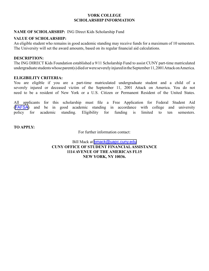#### **NAME OF SCHOLARSHIP:** ING Direct Kids Scholarship Fund

#### **VALUE OF SCHOLARSHIP:**

An eligible student who remains in good academic standing may receive funds for a maximum of 10 semesters. The University will set the award amounts, based on its regular financial aid calculations.

#### **DESCRIPTION:**

The ING DIRECT Kids Foundation established a 9/11 Scholarship Fund to assist CUNY part-time matriculated undergraduate students whose parent(s) died or were severely injured in the September 11, 2001 Attack on America.

#### **ELIGIBILITY CRITERIA:**

You are eligible if you are a part-time matriculated undergraduate student and a child of a severely injured or deceased victim of the September 11, 2001 Attack on America. You do not need to be a resident of New York or a U.S. Citizen or Permanent Resident of the United States.

All applicants for this scholarship must file a Free Application for Federal Student Aid ([FAFSA](http://www.fafsa.ed.gov/)) and be in good academic standing in accordance with college and university policy for academic standing. Eligibility for funding is limited to ten semesters.

**TO APPLY:**

For further information contact:

Bill Mack at [bmack@uapc.cuny.edu](mailto:bmack@uapc.cuny.edu) **CUNY OFFICE OF STUDENT FINANCIAL ASSISTANCE 1114 AVENUE OF THE AMERICAS FL15 NEW YORK, NY 10036.**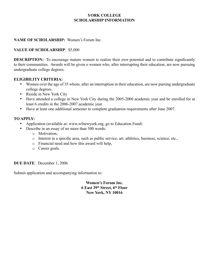#### **NAME OF SCHOLARSHIP:** Women's Forum Inc.

### **VALUE OF SCHOLARSHIP**: \$5,000

**DESCRIPTION:** To encourage mature women to realize their own potential and to contribute significantly to their communities. Awards will be given o women who, after interrupting their education, are now pursuing undergraduate college degrees.

#### **ELIGIBILITY CRITERIA:**

- Women over the age of 35 whom, after an interruption in their education, are now pursing undergraduate college degrees.
- Reside in New York City
- Have attended a college in New York City during the 2005-2006 academic year and be enrolled for at least 6 credits in the 2006-2007 academic year
- Have at least one additional semester to complete graduation requirements after June 2007.

#### **TO APPLY:**

- Application (available at: www.wfnewyork.org, go to Education Fund)
- Describe in an essay of no more than 500 words:
	- o Motivation,
	- o Interest in a specific area, such as public service, art, athletics, business, science, etc.,
	- o Financial need and how this award will help,
	- o Career goals.

#### **DUE DATE**: December 1, 2006

Submit application and accompanying information to:

**Women's Forum Inc. 6 East 39th Street, 6th Floor New York, NY 10016**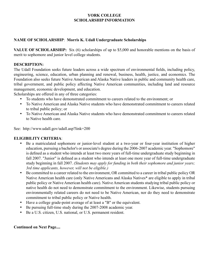# **NAME OF SCHOLARSHIP**: **Morris K. Udall Undergraduate Scholarships**

**VALUE OF SCHOLARSHIP:** Six (6) scholarships of up to \$5,000 and honorable mentions on the basis of merit to sophomore and junior level college students.

#### **DESCRIPTION:**

The Udall Foundation seeks future leaders across a wide spectrum of environmental fields, including policy, engineering, science, education, urban planning and renewal, business, health, justice, and economics. The Foundation also seeks future Native American and Alaska Native leaders in public and community health care, tribal government, and public policy affecting Native American communities, including land and resource management, economic development, and education.

Scholarships are offered in any of three categories:

- To students who have demonstrated commitment to careers related to the environment; or
- To Native American and Alaska Native students who have demonstrated commitment to careers related to tribal public policy; or
- To Native American and Alaska Native students who have demonstrated commitment to careers related to Native health care.

See: http://www.udall.gov/udall.asp?link=200

# **ELIGIBILITY CRITERIA**:

- Be a matriculated sophomore or junior-level student at a two-year or four-year institution of higher education, pursuing a bachelor's or associate's degree during the 2006-2007 academic year. "Sophomore" is defined as a student who intends at least two more years of full-time undergraduate study beginning in fall 2007. "Junior" is defined as a student who intends at least one more year of full-time undergraduate study beginning in fall 2007. *(Students may apply for funding in both their sophomore and junior years; 3rd time applicants, however, will not be eligible.)*
- Be committed to a career related to the environment, OR committed to a career in tribal public policy OR Native American health care (only Native Americans and Alaska Natives\* are eligible to apply in tribal public policy or Native American health care). Native American students studying tribal public policy or native health do not need to demonstrate commitment to the environment. Likewise, students pursuing environmentally related careers do not need to be Native American, nor do they need to demonstrate commitment to tribal public policy or Native health.
- Have a college grade-point average of at least a "B" or the equivalent.
- Be pursuing full-time study during the 2007-2008 academic year.
- Be a U.S. citizen, U.S. national, or U.S. permanent resident.

#### **Continued on Next Page....**